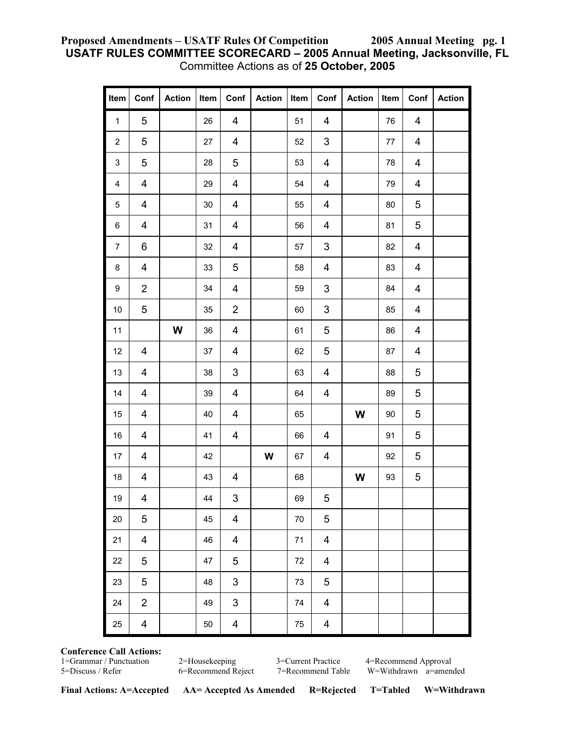#### **Proposed Amendments – USATF Rules Of Competition 2005 Annual Meeting pg. 1 USATF RULES COMMITTEE SCORECARD – 2005 Annual Meeting, Jacksonville, FL**  Committee Actions as of **25 October, 2005**

| Item                    | Conf                    | <b>Action</b> | Item   | Conf                      | Action | Item | Conf                      | <b>Action</b> | Item    | Conf           | <b>Action</b> |
|-------------------------|-------------------------|---------------|--------|---------------------------|--------|------|---------------------------|---------------|---------|----------------|---------------|
| $\mathbf{1}$            | $\sqrt{5}$              |               | 26     | $\overline{\mathbf{4}}$   |        | 51   | $\overline{\mathbf{4}}$   |               | 76      | $\overline{4}$ |               |
| $\overline{c}$          | 5                       |               | 27     | $\overline{\mathbf{4}}$   |        | 52   | $\ensuremath{\mathsf{3}}$ |               | $77 \,$ | 4              |               |
| 3                       | 5                       |               | 28     | 5                         |        | 53   | 4                         |               | 78      | 4              |               |
| $\overline{\mathbf{4}}$ | $\overline{\mathbf{4}}$ |               | 29     | $\overline{\mathbf{4}}$   |        | 54   | $\overline{\mathbf{4}}$   |               | 79      | 4              |               |
| $\,$ 5 $\,$             | $\overline{\mathbf{4}}$ |               | $30\,$ | $\overline{\mathbf{4}}$   |        | 55   | $\overline{\mathbf{4}}$   |               | 80      | 5              |               |
| 6                       | $\overline{\mathbf{4}}$ |               | 31     | $\overline{\mathbf{4}}$   |        | 56   | 4                         |               | 81      | 5              |               |
| $\boldsymbol{7}$        | 6                       |               | 32     | 4                         |        | 57   | 3                         |               | 82      | 4              |               |
| $\bf 8$                 | $\overline{\mathbf{4}}$ |               | 33     | 5                         |        | 58   | $\overline{\mathbf{4}}$   |               | 83      | 4              |               |
| $\boldsymbol{9}$        | $\overline{2}$          |               | 34     | $\overline{\mathbf{4}}$   |        | 59   | 3                         |               | 84      | 4              |               |
| $10$                    | 5                       |               | 35     | $\overline{c}$            |        | 60   | 3                         |               | 85      | 4              |               |
| 11                      |                         | W             | 36     | $\overline{\mathbf{4}}$   |        | 61   | 5                         |               | 86      | 4              |               |
| 12                      | 4                       |               | 37     | $\overline{\mathbf{4}}$   |        | 62   | 5                         |               | 87      | 4              |               |
| $13$                    | $\overline{\mathbf{4}}$ |               | 38     | $\ensuremath{\mathsf{3}}$ |        | 63   | $\overline{\mathbf{4}}$   |               | 88      | 5              |               |
| 14                      | 4                       |               | 39     | $\overline{\mathbf{4}}$   |        | 64   | $\overline{\mathbf{4}}$   |               | 89      | 5              |               |
| 15                      | $\overline{\mathbf{4}}$ |               | 40     | $\overline{\mathbf{4}}$   |        | 65   |                           | W             | $90\,$  | 5              |               |
| $16\,$                  | 4                       |               | 41     | $\overline{\mathbf{4}}$   |        | 66   | $\overline{4}$            |               | 91      | 5              |               |
| 17                      | $\overline{\mathbf{4}}$ |               | 42     |                           | W      | 67   | $\overline{\mathbf{4}}$   |               | 92      | 5              |               |
| $18$                    | $\overline{\mathbf{4}}$ |               | 43     | 4                         |        | 68   |                           | W             | 93      | 5              |               |
| $19$                    | $\overline{\mathbf{4}}$ |               | 44     | $\ensuremath{\mathsf{3}}$ |        | 69   | 5                         |               |         |                |               |
| 20                      | 5                       |               | 45     | $\overline{\mathbf{4}}$   |        | 70   | 5                         |               |         |                |               |
| 21                      | $\overline{\mathbf{4}}$ |               | 46     | $\overline{\mathbf{4}}$   |        | 71   | 4                         |               |         |                |               |
| 22                      | 5                       |               | 47     | 5                         |        | 72   | $\overline{\mathbf{4}}$   |               |         |                |               |
| 23                      | 5                       |               | 48     | 3                         |        | 73   | 5                         |               |         |                |               |
| 24                      | $\overline{2}$          |               | 49     | 3                         |        | 74   | $\overline{\mathbf{4}}$   |               |         |                |               |
| 25                      | 4                       |               | 50     | $\overline{\mathbf{4}}$   |        | 75   | 4                         |               |         |                |               |

# **Conference Call Actions:**

2=Housekeeping 3=Current Practice 4=Recommend Approval 6=Recommend Reject 7=Recommend Table W=Withdrawn a=amen

5=Discuss / Refer 6=Recommend Reject 7=Recommend Table W=Withdrawn a=amended

**Final Actions: A=Accepted AA= Accepted As Amended R=Rejected T=Tabled W=Withdrawn**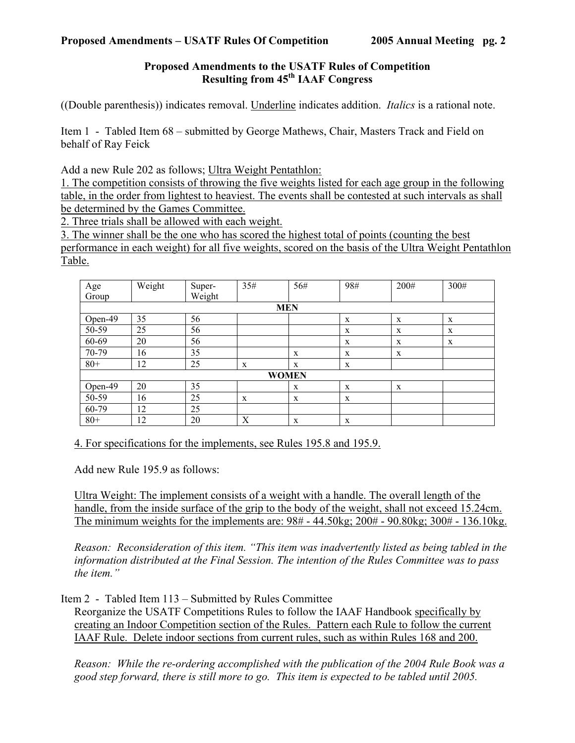## **Proposed Amendments to the USATF Rules of Competition Resulting from 45th IAAF Congress**

((Double parenthesis)) indicates removal. Underline indicates addition. *Italics* is a rational note.

Item 1 - Tabled Item 68 – submitted by George Mathews, Chair, Masters Track and Field on behalf of Ray Feick

Add a new Rule 202 as follows; Ultra Weight Pentathlon:

1. The competition consists of throwing the five weights listed for each age group in the following table, in the order from lightest to heaviest. The events shall be contested at such intervals as shall be determined by the Games Committee.

2. Three trials shall be allowed with each weight.

3. The winner shall be the one who has scored the highest total of points (counting the best performance in each weight) for all five weights, scored on the basis of the Ultra Weight Pentathlon Table.

| Age          | Weight | Super- | 35# | 56#          | 98#         | 200# | 300# |  |
|--------------|--------|--------|-----|--------------|-------------|------|------|--|
| Group        |        | Weight |     |              |             |      |      |  |
| <b>MEN</b>   |        |        |     |              |             |      |      |  |
| Open-49      | 35     | 56     |     |              | X           | X    | X    |  |
| 50-59        | 25     | 56     |     |              | X           | X    | X    |  |
| 60-69        | 20     | 56     |     |              | $\mathbf X$ | X    | X    |  |
| 70-79        | 16     | 35     |     | X            | X           | X    |      |  |
| $80+$        | 12     | 25     | X   | X            | X           |      |      |  |
| <b>WOMEN</b> |        |        |     |              |             |      |      |  |
| Open-49      | 20     | 35     |     | X            | X           | X    |      |  |
| 50-59        | 16     | 25     | X   | X            | X           |      |      |  |
| 60-79        | 12     | 25     |     |              |             |      |      |  |
| $80+$        | 12     | 20     | Χ   | $\mathbf{x}$ | X           |      |      |  |

4. For specifications for the implements, see Rules 195.8 and 195.9.

Add new Rule 195.9 as follows:

Ultra Weight: The implement consists of a weight with a handle. The overall length of the handle, from the inside surface of the grip to the body of the weight, shall not exceed 15.24cm. The minimum weights for the implements are: 98# - 44.50kg; 200# - 90.80kg; 300# - 136.10kg.

*Reason: Reconsideration of this item. "This item was inadvertently listed as being tabled in the information distributed at the Final Session. The intention of the Rules Committee was to pass the item."* 

Item 2 - Tabled Item 113 – Submitted by Rules Committee

Reorganize the USATF Competitions Rules to follow the IAAF Handbook specifically by creating an Indoor Competition section of the Rules. Pattern each Rule to follow the current IAAF Rule. Delete indoor sections from current rules, such as within Rules 168 and 200.

*Reason: While the re-ordering accomplished with the publication of the 2004 Rule Book was a good step forward, there is still more to go. This item is expected to be tabled until 2005.*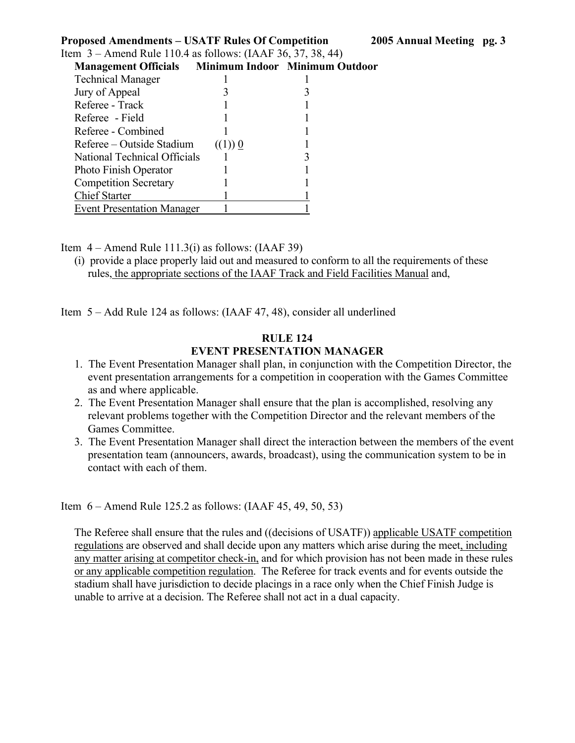| <b>Proposed Amendments – USATF Rules Of Competition</b>       |                         |  |
|---------------------------------------------------------------|-------------------------|--|
| Item $3 -$ Amend Rule 110.4 as follows: (IAAF 36, 37, 38, 44) |                         |  |
| <b>Management Officials</b> Minimum Indoor Minimum Outdoor    |                         |  |
| <b>Technical Manager</b>                                      |                         |  |
| Jury of Appeal                                                |                         |  |
| Referee - Track                                               |                         |  |
| Referee - Field                                               |                         |  |
| Referee - Combined                                            |                         |  |
| Referee – Outside Stadium                                     | $((1))$ $\underline{0}$ |  |
| National Technical Officials                                  |                         |  |
| Photo Finish Operator                                         |                         |  |
| <b>Competition Secretary</b>                                  |                         |  |
| <b>Chief Starter</b>                                          |                         |  |
| <b>Event Presentation Manager</b>                             |                         |  |

Item  $4 -$ Amend Rule 111.3(i) as follows: (IAAF 39)

(i) provide a place properly laid out and measured to conform to all the requirements of these rules, the appropriate sections of the IAAF Track and Field Facilities Manual and,

Item 5 – Add Rule 124 as follows: (IAAF 47, 48), consider all underlined

#### **RULE 124 EVENT PRESENTATION MANAGER**

- 1. The Event Presentation Manager shall plan, in conjunction with the Competition Director, the event presentation arrangements for a competition in cooperation with the Games Committee as and where applicable.
- 2. The Event Presentation Manager shall ensure that the plan is accomplished, resolving any relevant problems together with the Competition Director and the relevant members of the Games Committee.
- 3. The Event Presentation Manager shall direct the interaction between the members of the event presentation team (announcers, awards, broadcast), using the communication system to be in contact with each of them.

Item 6 – Amend Rule 125.2 as follows: (IAAF 45, 49, 50, 53)

The Referee shall ensure that the rules and ((decisions of USATF)) applicable USATF competition regulations are observed and shall decide upon any matters which arise during the meet, including any matter arising at competitor check-in, and for which provision has not been made in these rules or any applicable competition regulation. The Referee for track events and for events outside the stadium shall have jurisdiction to decide placings in a race only when the Chief Finish Judge is unable to arrive at a decision. The Referee shall not act in a dual capacity.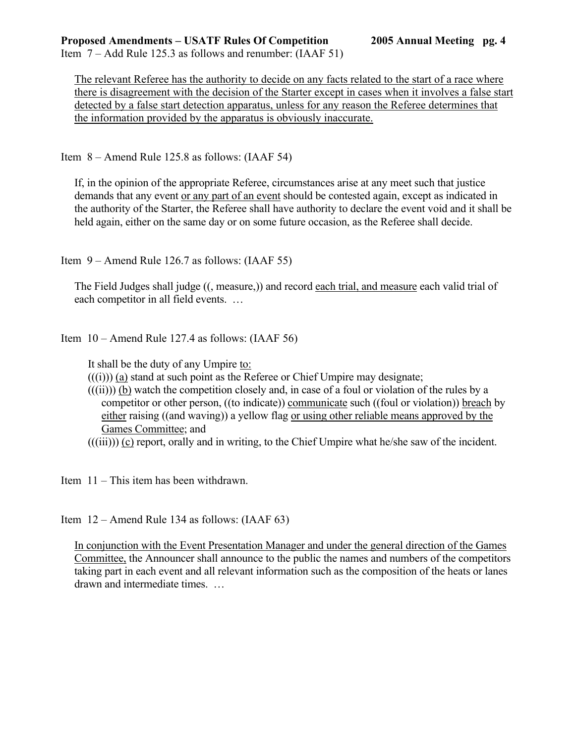Item 7 – Add Rule 125.3 as follows and renumber: (IAAF 51)

The relevant Referee has the authority to decide on any facts related to the start of a race where there is disagreement with the decision of the Starter except in cases when it involves a false start detected by a false start detection apparatus, unless for any reason the Referee determines that the information provided by the apparatus is obviously inaccurate.

Item 8 – Amend Rule 125.8 as follows: (IAAF 54)

If, in the opinion of the appropriate Referee, circumstances arise at any meet such that justice demands that any event or any part of an event should be contested again, except as indicated in the authority of the Starter, the Referee shall have authority to declare the event void and it shall be held again, either on the same day or on some future occasion, as the Referee shall decide.

Item 9 – Amend Rule 126.7 as follows: (IAAF 55)

The Field Judges shall judge ((, measure,)) and record each trial, and measure each valid trial of each competitor in all field events. …

Item 10 – Amend Rule 127.4 as follows: (IAAF 56)

It shall be the duty of any Umpire to:

- $((i))$  (a) stand at such point as the Referee or Chief Umpire may designate;
- $(((ii))$  (b) watch the competition closely and, in case of a foul or violation of the rules by a competitor or other person, ((to indicate)) communicate such ((foul or violation)) breach by either raising ((and waving)) a yellow flag or using other reliable means approved by the Games Committee; and
- $(((iii)))(c)$  report, orally and in writing, to the Chief Umpire what he/she saw of the incident.

Item 11 – This item has been withdrawn.

Item 12 – Amend Rule 134 as follows: (IAAF 63)

In conjunction with the Event Presentation Manager and under the general direction of the Games Committee, the Announcer shall announce to the public the names and numbers of the competitors taking part in each event and all relevant information such as the composition of the heats or lanes drawn and intermediate times. …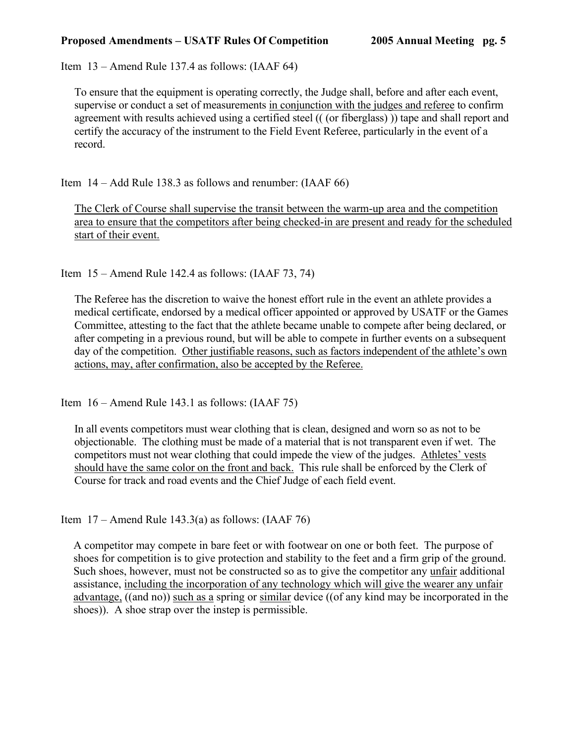Item 13 – Amend Rule 137.4 as follows: (IAAF 64)

To ensure that the equipment is operating correctly, the Judge shall, before and after each event, supervise or conduct a set of measurements in conjunction with the judges and referee to confirm agreement with results achieved using a certified steel (( (or fiberglass) )) tape and shall report and certify the accuracy of the instrument to the Field Event Referee, particularly in the event of a record.

Item 14 – Add Rule 138.3 as follows and renumber: (IAAF 66)

The Clerk of Course shall supervise the transit between the warm-up area and the competition area to ensure that the competitors after being checked-in are present and ready for the scheduled start of their event.

Item 15 – Amend Rule 142.4 as follows: (IAAF 73, 74)

The Referee has the discretion to waive the honest effort rule in the event an athlete provides a medical certificate, endorsed by a medical officer appointed or approved by USATF or the Games Committee, attesting to the fact that the athlete became unable to compete after being declared, or after competing in a previous round, but will be able to compete in further events on a subsequent day of the competition. Other justifiable reasons, such as factors independent of the athlete's own actions, may, after confirmation, also be accepted by the Referee.

Item 16 – Amend Rule 143.1 as follows: (IAAF 75)

In all events competitors must wear clothing that is clean, designed and worn so as not to be objectionable. The clothing must be made of a material that is not transparent even if wet. The competitors must not wear clothing that could impede the view of the judges. Athletes' vests should have the same color on the front and back. This rule shall be enforced by the Clerk of Course for track and road events and the Chief Judge of each field event.

Item  $17 -$  Amend Rule 143.3(a) as follows: (IAAF 76)

A competitor may compete in bare feet or with footwear on one or both feet. The purpose of shoes for competition is to give protection and stability to the feet and a firm grip of the ground. Such shoes, however, must not be constructed so as to give the competitor any unfair additional assistance, including the incorporation of any technology which will give the wearer any unfair advantage, ((and no)) such as a spring or similar device ((of any kind may be incorporated in the shoes)). A shoe strap over the instep is permissible.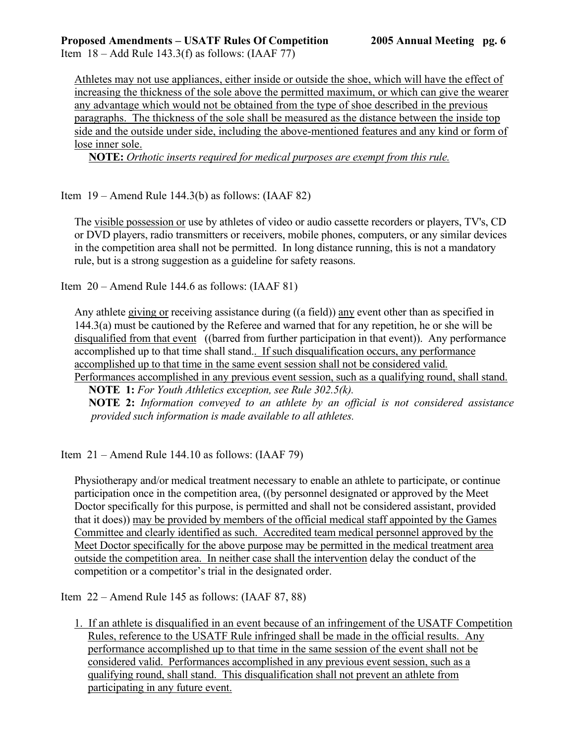Item  $18 -$ Add Rule 143.3(f) as follows: (IAAF 77)

Athletes may not use appliances, either inside or outside the shoe, which will have the effect of increasing the thickness of the sole above the permitted maximum, or which can give the wearer any advantage which would not be obtained from the type of shoe described in the previous paragraphs. The thickness of the sole shall be measured as the distance between the inside top side and the outside under side, including the above-mentioned features and any kind or form of lose inner sole.

 **NOTE:** *Orthotic inserts required for medical purposes are exempt from this rule.*

Item 19 – Amend Rule 144.3(b) as follows: (IAAF 82)

The visible possession or use by athletes of video or audio cassette recorders or players, TV's, CD or DVD players, radio transmitters or receivers, mobile phones, computers, or any similar devices in the competition area shall not be permitted. In long distance running, this is not a mandatory rule, but is a strong suggestion as a guideline for safety reasons.

Item 20 – Amend Rule 144.6 as follows: (IAAF 81)

Any athlete giving or receiving assistance during ((a field)) any event other than as specified in 144.3(a) must be cautioned by the Referee and warned that for any repetition, he or she will be disqualified from that event ((barred from further participation in that event)). Any performance accomplished up to that time shall stand.. If such disqualification occurs, any performance accomplished up to that time in the same event session shall not be considered valid.

Performances accomplished in any previous event session, such as a qualifying round, shall stand.

 **NOTE 1:** *For Youth Athletics exception, see Rule 302.5(k).*

 **NOTE 2:** *Information conveyed to an athlete by an official is not considered assistance provided such information is made available to all athletes.*

Item  $21 -$ Amend Rule 144.10 as follows: (IAAF 79)

Physiotherapy and/or medical treatment necessary to enable an athlete to participate, or continue participation once in the competition area, ((by personnel designated or approved by the Meet Doctor specifically for this purpose, is permitted and shall not be considered assistant, provided that it does)) may be provided by members of the official medical staff appointed by the Games Committee and clearly identified as such. Accredited team medical personnel approved by the Meet Doctor specifically for the above purpose may be permitted in the medical treatment area outside the competition area. In neither case shall the intervention delay the conduct of the competition or a competitor's trial in the designated order.

Item 22 – Amend Rule 145 as follows: (IAAF 87, 88)

1. If an athlete is disqualified in an event because of an infringement of the USATF Competition Rules, reference to the USATF Rule infringed shall be made in the official results. Any performance accomplished up to that time in the same session of the event shall not be considered valid. Performances accomplished in any previous event session, such as a qualifying round, shall stand. This disqualification shall not prevent an athlete from participating in any future event.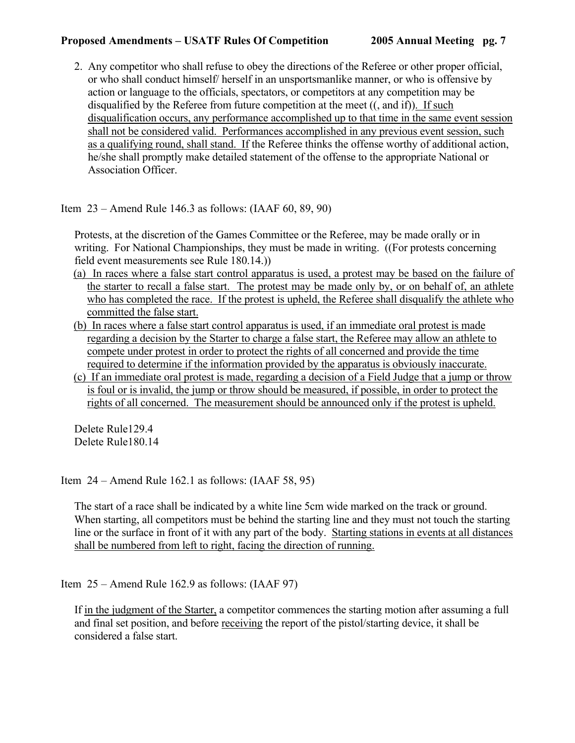2. Any competitor who shall refuse to obey the directions of the Referee or other proper official, or who shall conduct himself/ herself in an unsportsmanlike manner, or who is offensive by action or language to the officials, spectators, or competitors at any competition may be disqualified by the Referee from future competition at the meet ((, and if)). If such disqualification occurs, any performance accomplished up to that time in the same event session shall not be considered valid. Performances accomplished in any previous event session, such as a qualifying round, shall stand. If the Referee thinks the offense worthy of additional action, he/she shall promptly make detailed statement of the offense to the appropriate National or Association Officer.

Item 23 – Amend Rule 146.3 as follows: (IAAF 60, 89, 90)

 Protests, at the discretion of the Games Committee or the Referee, may be made orally or in writing. For National Championships, they must be made in writing. ((For protests concerning field event measurements see Rule 180.14.))

- (a) In races where a false start control apparatus is used, a protest may be based on the failure of the starter to recall a false start. The protest may be made only by, or on behalf of, an athlete who has completed the race. If the protest is upheld, the Referee shall disqualify the athlete who committed the false start.
- (b) In races where a false start control apparatus is used, if an immediate oral protest is made regarding a decision by the Starter to charge a false start, the Referee may allow an athlete to compete under protest in order to protect the rights of all concerned and provide the time required to determine if the information provided by the apparatus is obviously inaccurate.
- (c) If an immediate oral protest is made, regarding a decision of a Field Judge that a jump or throw is foul or is invalid, the jump or throw should be measured, if possible, in order to protect the rights of all concerned. The measurement should be announced only if the protest is upheld.

Delete Rule129.4 Delete Rule180.14

Item 24 – Amend Rule 162.1 as follows: (IAAF 58, 95)

The start of a race shall be indicated by a white line 5cm wide marked on the track or ground. When starting, all competitors must be behind the starting line and they must not touch the starting line or the surface in front of it with any part of the body. Starting stations in events at all distances shall be numbered from left to right, facing the direction of running.

Item 25 – Amend Rule 162.9 as follows: (IAAF 97)

If in the judgment of the Starter, a competitor commences the starting motion after assuming a full and final set position, and before receiving the report of the pistol/starting device, it shall be considered a false start.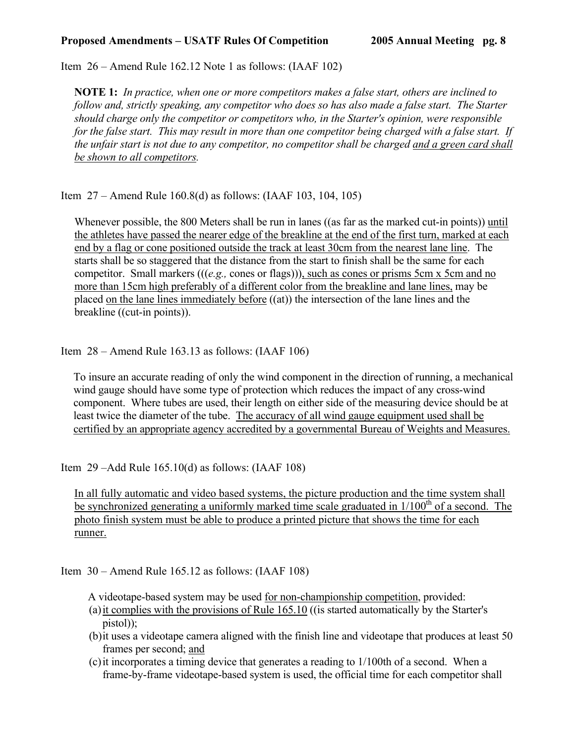Item 26 – Amend Rule 162.12 Note 1 as follows: (IAAF 102)

**NOTE 1:** *In practice, when one or more competitors makes a false start, others are inclined to follow and, strictly speaking, any competitor who does so has also made a false start. The Starter should charge only the competitor or competitors who, in the Starter's opinion, were responsible for the false start. This may result in more than one competitor being charged with a false start. If the unfair start is not due to any competitor, no competitor shall be charged and a green card shall be shown to all competitors.*

Item 27 – Amend Rule 160.8(d) as follows: (IAAF 103, 104, 105)

Whenever possible, the 800 Meters shall be run in lanes ((as far as the marked cut-in points)) until the athletes have passed the nearer edge of the breakline at the end of the first turn, marked at each end by a flag or cone positioned outside the track at least 30cm from the nearest lane line. The starts shall be so staggered that the distance from the start to finish shall be the same for each competitor. Small markers (((*e.g.,* cones or flags))), such as cones or prisms 5cm x 5cm and no more than 15cm high preferably of a different color from the breakline and lane lines, may be placed on the lane lines immediately before ((at)) the intersection of the lane lines and the breakline ((cut-in points)).

Item 28 – Amend Rule 163.13 as follows: (IAAF 106)

To insure an accurate reading of only the wind component in the direction of running, a mechanical wind gauge should have some type of protection which reduces the impact of any cross-wind component. Where tubes are used, their length on either side of the measuring device should be at least twice the diameter of the tube. The accuracy of all wind gauge equipment used shall be certified by an appropriate agency accredited by a governmental Bureau of Weights and Measures.

Item 29 –Add Rule 165.10(d) as follows: (IAAF 108)

In all fully automatic and video based systems, the picture production and the time system shall be synchronized generating a uniformly marked time scale graduated in  $1/100<sup>th</sup>$  of a second. The photo finish system must be able to produce a printed picture that shows the time for each runner.

Item 30 – Amend Rule 165.12 as follows: (IAAF 108)

A videotape-based system may be used for non-championship competition, provided:

- (a) it complies with the provisions of Rule 165.10 ((is started automatically by the Starter's pistol));
- (b) it uses a videotape camera aligned with the finish line and videotape that produces at least 50 frames per second; and
- (c) it incorporates a timing device that generates a reading to 1/100th of a second. When a frame-by-frame videotape-based system is used, the official time for each competitor shall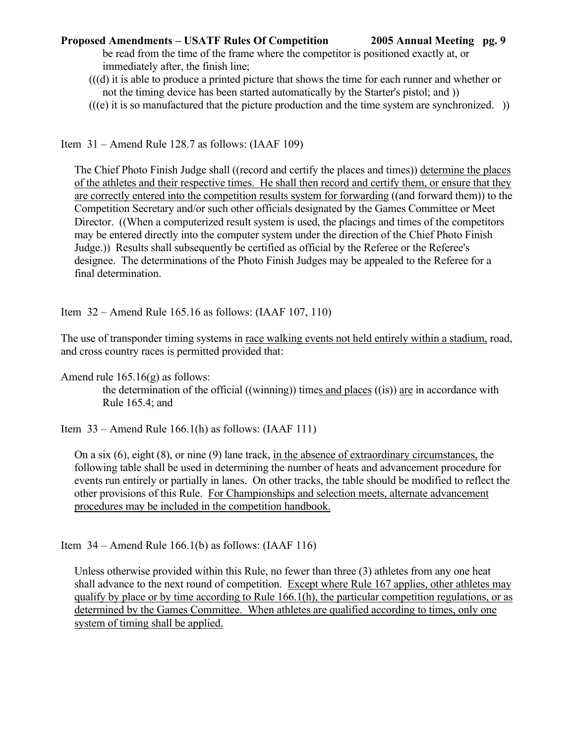be read from the time of the frame where the competitor is positioned exactly at, or immediately after, the finish line;

 (((d) it is able to produce a printed picture that shows the time for each runner and whether or not the timing device has been started automatically by the Starter's pistol; and ))

 $(((e)$  it is so manufactured that the picture production and the time system are synchronized.  $))$ 

Item 31 – Amend Rule 128.7 as follows: (IAAF 109)

The Chief Photo Finish Judge shall ((record and certify the places and times)) determine the places of the athletes and their respective times. He shall then record and certify them, or ensure that they are correctly entered into the competition results system for forwarding ((and forward them)) to the Competition Secretary and/or such other officials designated by the Games Committee or Meet Director. ((When a computerized result system is used, the placings and times of the competitors may be entered directly into the computer system under the direction of the Chief Photo Finish Judge.)) Results shall subsequently be certified as official by the Referee or the Referee's designee. The determinations of the Photo Finish Judges may be appealed to the Referee for a final determination.

Item 32 – Amend Rule 165.16 as follows: (IAAF 107, 110)

The use of transponder timing systems in race walking events not held entirely within a stadium, road, and cross country races is permitted provided that:

Amend rule 165.16(g) as follows:

 the determination of the official ((winning)) times and places ((is)) are in accordance with Rule 165.4; and

Item  $33$  – Amend Rule 166.1(h) as follows: (IAAF 111)

On a six (6), eight (8), or nine (9) lane track, in the absence of extraordinary circumstances, the following table shall be used in determining the number of heats and advancement procedure for events run entirely or partially in lanes. On other tracks, the table should be modified to reflect the other provisions of this Rule. For Championships and selection meets, alternate advancement procedures may be included in the competition handbook.

Item  $34$  – Amend Rule 166.1(b) as follows: (IAAF 116)

Unless otherwise provided within this Rule, no fewer than three (3) athletes from any one heat shall advance to the next round of competition. Except where Rule 167 applies, other athletes may qualify by place or by time according to Rule 166.1(h), the particular competition regulations, or as determined by the Games Committee. When athletes are qualified according to times, only one system of timing shall be applied.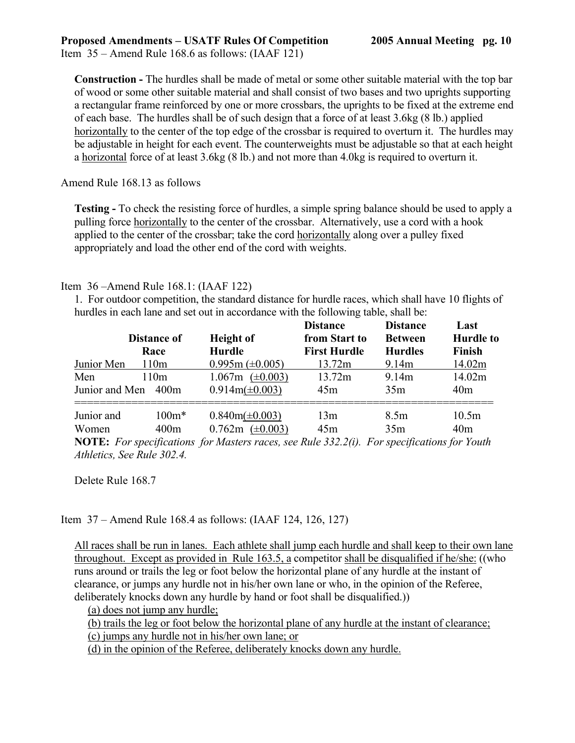Item 35 – Amend Rule 168.6 as follows: (IAAF 121)

**Construction -** The hurdles shall be made of metal or some other suitable material with the top bar of wood or some other suitable material and shall consist of two bases and two uprights supporting a rectangular frame reinforced by one or more crossbars, the uprights to be fixed at the extreme end of each base. The hurdles shall be of such design that a force of at least 3.6kg (8 lb.) applied horizontally to the center of the top edge of the crossbar is required to overturn it. The hurdles may be adjustable in height for each event. The counterweights must be adjustable so that at each height a horizontal force of at least 3.6kg (8 lb.) and not more than 4.0kg is required to overturn it.

## Amend Rule 168.13 as follows

**Testing -** To check the resisting force of hurdles, a simple spring balance should be used to apply a pulling force horizontally to the center of the crossbar. Alternatively, use a cord with a hook applied to the center of the crossbar; take the cord horizontally along over a pulley fixed appropriately and load the other end of the cord with weights.

# Item 36 –Amend Rule 168.1: (IAAF 122)

1. For outdoor competition, the standard distance for hurdle races, which shall have 10 flights of hurdles in each lane and set out in accordance with the following table, shall be:

|                | <b>Distance of</b> | <b>Height</b> of                                                     | <b>Distance</b><br>from Start to | <b>Distance</b><br><b>Between</b> | Last<br><b>Hurdle to</b> |
|----------------|--------------------|----------------------------------------------------------------------|----------------------------------|-----------------------------------|--------------------------|
|                | Race               | <b>Hurdle</b>                                                        | <b>First Hurdle</b>              | <b>Hurdles</b>                    | <b>Finish</b>            |
| Junior Men     | 110m               | $0.995m (\pm 0.005)$                                                 | 13.72m                           | 9.14m                             | 14.02m                   |
| Men            | 110 <sub>m</sub>   | $(\pm 0.003)$<br>1.067m                                              | 13.72m                           | 9.14m                             | 14.02m                   |
| Junior and Men | 400m               | $0.914m(\pm 0.003)$                                                  | 45m                              | 35m                               | 40 <sub>m</sub>          |
| Junior and     | $100m*$            | $0.840m(\pm 0.003)$                                                  | 13m                              | 8.5 <sub>m</sub>                  | 10.5m                    |
| Women          | 400m               | $0.762m \ (\pm 0.003)$                                               | 45m                              | 35m                               | 40 <sub>m</sub>          |
|                |                    | <b>NOTE:</b> For specifications for Masters races, see Rule 332.2(i) |                                  | For specifications for Youth      |                          |

**NOTE:** *For specifications for Masters races, see Rule 332.2(i). For specifications for Youth Athletics, See Rule 302.4.*

Delete Rule 168.7

# Item 37 – Amend Rule 168.4 as follows: (IAAF 124, 126, 127)

All races shall be run in lanes. Each athlete shall jump each hurdle and shall keep to their own lane throughout. Except as provided in Rule 163.5, a competitor shall be disqualified if he/she: ((who runs around or trails the leg or foot below the horizontal plane of any hurdle at the instant of clearance, or jumps any hurdle not in his/her own lane or who, in the opinion of the Referee, deliberately knocks down any hurdle by hand or foot shall be disqualified.))

(a) does not jump any hurdle;

(b) trails the leg or foot below the horizontal plane of any hurdle at the instant of clearance;

(c) jumps any hurdle not in his/her own lane; or

(d) in the opinion of the Referee, deliberately knocks down any hurdle.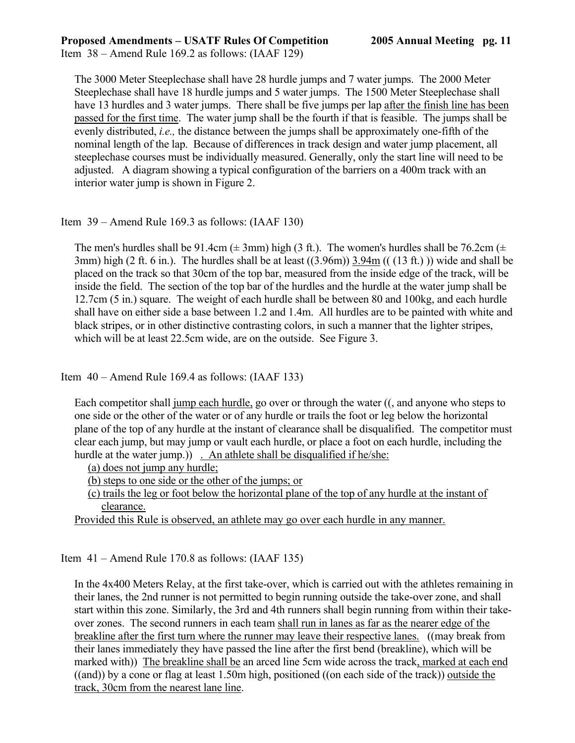The 3000 Meter Steeplechase shall have 28 hurdle jumps and 7 water jumps. The 2000 Meter Steeplechase shall have 18 hurdle jumps and 5 water jumps. The 1500 Meter Steeplechase shall have 13 hurdles and 3 water jumps. There shall be five jumps per lap after the finish line has been passed for the first time. The water jump shall be the fourth if that is feasible. The jumps shall be evenly distributed, *i.e.,* the distance between the jumps shall be approximately one-fifth of the nominal length of the lap. Because of differences in track design and water jump placement, all steeplechase courses must be individually measured. Generally, only the start line will need to be adjusted. A diagram showing a typical configuration of the barriers on a 400m track with an interior water jump is shown in Figure 2.

# Item 39 – Amend Rule 169.3 as follows: (IAAF 130)

The men's hurdles shall be 91.4cm ( $\pm$  3mm) high (3 ft.). The women's hurdles shall be 76.2cm ( $\pm$ 3mm) high (2 ft. 6 in.). The hurdles shall be at least ((3.96m)) 3.94m (( (13 ft.) )) wide and shall be placed on the track so that 30cm of the top bar, measured from the inside edge of the track, will be inside the field. The section of the top bar of the hurdles and the hurdle at the water jump shall be 12.7cm (5 in.) square. The weight of each hurdle shall be between 80 and 100kg, and each hurdle shall have on either side a base between 1.2 and 1.4m. All hurdles are to be painted with white and black stripes, or in other distinctive contrasting colors, in such a manner that the lighter stripes, which will be at least 22.5cm wide, are on the outside. See Figure 3.

Item  $40 -$  Amend Rule 169.4 as follows: (IAAF 133)

Each competitor shall jump each hurdle, go over or through the water ((, and anyone who steps to one side or the other of the water or of any hurdle or trails the foot or leg below the horizontal plane of the top of any hurdle at the instant of clearance shall be disqualified. The competitor must clear each jump, but may jump or vault each hurdle, or place a foot on each hurdle, including the hurdle at the water jump.) . An athlete shall be disqualified if he/she:

(a) does not jump any hurdle;

(b) steps to one side or the other of the jumps; or

(c) trails the leg or foot below the horizontal plane of the top of any hurdle at the instant of clearance.

Provided this Rule is observed, an athlete may go over each hurdle in any manner.

Item 41 – Amend Rule 170.8 as follows: (IAAF 135)

In the 4x400 Meters Relay, at the first take-over, which is carried out with the athletes remaining in their lanes, the 2nd runner is not permitted to begin running outside the take-over zone, and shall start within this zone. Similarly, the 3rd and 4th runners shall begin running from within their takeover zones. The second runners in each team shall run in lanes as far as the nearer edge of the breakline after the first turn where the runner may leave their respective lanes. ((may break from their lanes immediately they have passed the line after the first bend (breakline), which will be marked with)) The breakline shall be an arced line 5cm wide across the track, marked at each end ((and)) by a cone or flag at least 1.50m high, positioned ((on each side of the track)) outside the track, 30cm from the nearest lane line.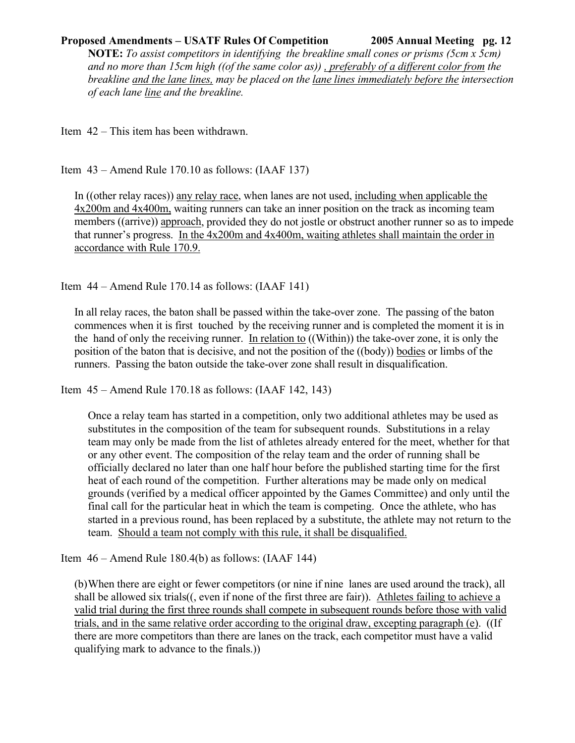**NOTE:** *To assist competitors in identifying the breakline small cones or prisms (5cm x 5cm) and no more than 15cm high ((of the same color as)) , preferably of a different color from the breakline and the lane lines, may be placed on the lane lines immediately before the intersection of each lane line and the breakline.* 

Item 42 – This item has been withdrawn.

Item 43 – Amend Rule 170.10 as follows: (IAAF 137)

In ((other relay races)) any relay race, when lanes are not used, including when applicable the 4x200m and 4x400m, waiting runners can take an inner position on the track as incoming team members ((arrive)) approach, provided they do not jostle or obstruct another runner so as to impede that runner's progress. In the 4x200m and 4x400m, waiting athletes shall maintain the order in accordance with Rule 170.9.

Item  $44$  – Amend Rule 170.14 as follows: (IAAF 141)

In all relay races, the baton shall be passed within the take-over zone. The passing of the baton commences when it is first touched by the receiving runner and is completed the moment it is in the hand of only the receiving runner. In relation to ((Within)) the take-over zone, it is only the position of the baton that is decisive, and not the position of the ((body)) bodies or limbs of the runners. Passing the baton outside the take-over zone shall result in disqualification.

Item 45 – Amend Rule 170.18 as follows: (IAAF 142, 143)

Once a relay team has started in a competition, only two additional athletes may be used as substitutes in the composition of the team for subsequent rounds. Substitutions in a relay team may only be made from the list of athletes already entered for the meet, whether for that or any other event. The composition of the relay team and the order of running shall be officially declared no later than one half hour before the published starting time for the first heat of each round of the competition. Further alterations may be made only on medical grounds (verified by a medical officer appointed by the Games Committee) and only until the final call for the particular heat in which the team is competing. Once the athlete, who has started in a previous round, has been replaced by a substitute, the athlete may not return to the team. Should a team not comply with this rule, it shall be disqualified.

Item  $46 -$  Amend Rule 180.4(b) as follows: (IAAF 144)

(b) When there are eight or fewer competitors (or nine if nine lanes are used around the track), all shall be allowed six trials((, even if none of the first three are fair)). Athletes failing to achieve a valid trial during the first three rounds shall compete in subsequent rounds before those with valid trials, and in the same relative order according to the original draw, excepting paragraph (e). ((If there are more competitors than there are lanes on the track, each competitor must have a valid qualifying mark to advance to the finals.))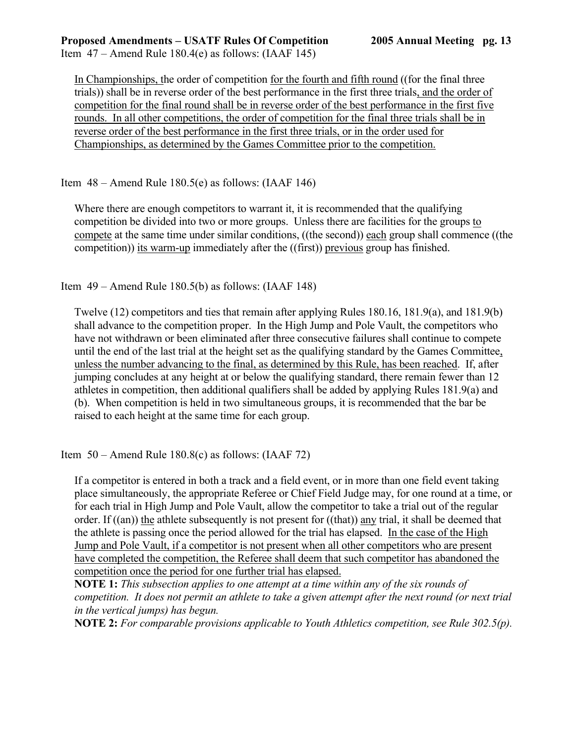Item  $47 -$  Amend Rule 180.4(e) as follows: (IAAF 145)

In Championships, the order of competition for the fourth and fifth round ((for the final three trials)) shall be in reverse order of the best performance in the first three trials, and the order of competition for the final round shall be in reverse order of the best performance in the first five rounds. In all other competitions, the order of competition for the final three trials shall be in reverse order of the best performance in the first three trials, or in the order used for Championships, as determined by the Games Committee prior to the competition.

Item  $48 -$  Amend Rule 180.5(e) as follows: (IAAF 146)

Where there are enough competitors to warrant it, it is recommended that the qualifying competition be divided into two or more groups. Unless there are facilities for the groups to compete at the same time under similar conditions, ((the second)) each group shall commence ((the competition)) its warm-up immediately after the ((first)) previous group has finished.

Item 49 – Amend Rule 180.5(b) as follows: (IAAF 148)

Twelve (12) competitors and ties that remain after applying Rules 180.16, 181.9(a), and 181.9(b) shall advance to the competition proper. In the High Jump and Pole Vault, the competitors who have not withdrawn or been eliminated after three consecutive failures shall continue to compete until the end of the last trial at the height set as the qualifying standard by the Games Committee, unless the number advancing to the final, as determined by this Rule, has been reached. If, after jumping concludes at any height at or below the qualifying standard, there remain fewer than 12 athletes in competition, then additional qualifiers shall be added by applying Rules 181.9(a) and (b). When competition is held in two simultaneous groups, it is recommended that the bar be raised to each height at the same time for each group.

Item  $50 -$  Amend Rule 180.8(c) as follows: (IAAF 72)

If a competitor is entered in both a track and a field event, or in more than one field event taking place simultaneously, the appropriate Referee or Chief Field Judge may, for one round at a time, or for each trial in High Jump and Pole Vault, allow the competitor to take a trial out of the regular order. If ((an)) the athlete subsequently is not present for ((that)) any trial, it shall be deemed that the athlete is passing once the period allowed for the trial has elapsed. In the case of the High Jump and Pole Vault, if a competitor is not present when all other competitors who are present have completed the competition, the Referee shall deem that such competitor has abandoned the competition once the period for one further trial has elapsed.

 **NOTE 1:** *This subsection applies to one attempt at a time within any of the six rounds of competition. It does not permit an athlete to take a given attempt after the next round (or next trial in the vertical jumps) has begun.* 

 **NOTE 2:** *For comparable provisions applicable to Youth Athletics competition, see Rule 302.5(p).*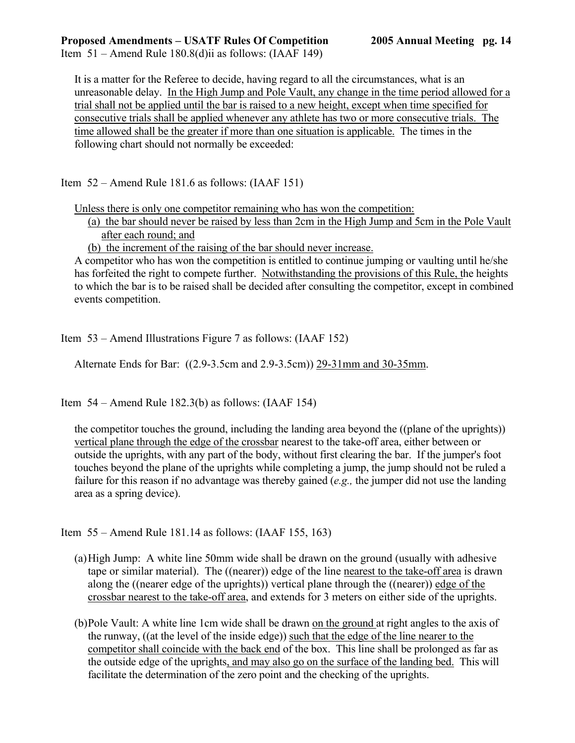It is a matter for the Referee to decide, having regard to all the circumstances, what is an unreasonable delay. In the High Jump and Pole Vault, any change in the time period allowed for a trial shall not be applied until the bar is raised to a new height, except when time specified for consecutive trials shall be applied whenever any athlete has two or more consecutive trials. The time allowed shall be the greater if more than one situation is applicable. The times in the following chart should not normally be exceeded:

Item 52 – Amend Rule 181.6 as follows: (IAAF 151)

Unless there is only one competitor remaining who has won the competition:

(a) the bar should never be raised by less than 2cm in the High Jump and 5cm in the Pole Vault after each round; and

(b) the increment of the raising of the bar should never increase.

A competitor who has won the competition is entitled to continue jumping or vaulting until he/she has forfeited the right to compete further. Notwithstanding the provisions of this Rule, the heights to which the bar is to be raised shall be decided after consulting the competitor, except in combined events competition.

Item 53 – Amend Illustrations Figure 7 as follows: (IAAF 152)

Alternate Ends for Bar: ((2.9-3.5cm and 2.9-3.5cm)) 29-31mm and 30-35mm.

Item  $54 -$ Amend Rule 182.3(b) as follows: (IAAF 154)

the competitor touches the ground, including the landing area beyond the ((plane of the uprights)) vertical plane through the edge of the crossbar nearest to the take-off area, either between or outside the uprights, with any part of the body, without first clearing the bar. If the jumper's foot touches beyond the plane of the uprights while completing a jump, the jump should not be ruled a failure for this reason if no advantage was thereby gained (*e.g.,* the jumper did not use the landing area as a spring device).

Item 55 – Amend Rule 181.14 as follows: (IAAF 155, 163)

- (a) High Jump: A white line 50mm wide shall be drawn on the ground (usually with adhesive tape or similar material). The ((nearer)) edge of the line nearest to the take-off area is drawn along the ((nearer edge of the uprights)) vertical plane through the ((nearer)) edge of the crossbar nearest to the take-off area, and extends for 3 meters on either side of the uprights.
- (b) Pole Vault: A white line 1cm wide shall be drawn on the ground at right angles to the axis of the runway, ((at the level of the inside edge)) such that the edge of the line nearer to the competitor shall coincide with the back end of the box. This line shall be prolonged as far as the outside edge of the uprights, and may also go on the surface of the landing bed. This will facilitate the determination of the zero point and the checking of the uprights.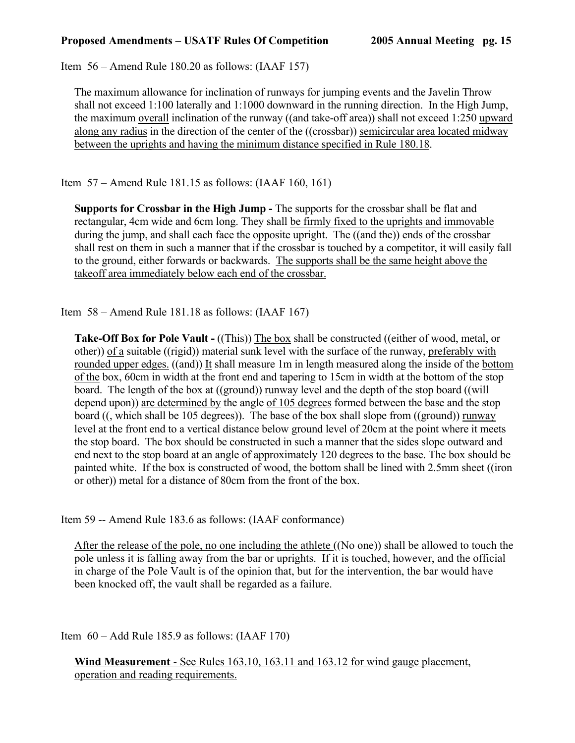Item 56 – Amend Rule 180.20 as follows: (IAAF 157)

The maximum allowance for inclination of runways for jumping events and the Javelin Throw shall not exceed 1:100 laterally and 1:1000 downward in the running direction. In the High Jump, the maximum overall inclination of the runway ((and take-off area)) shall not exceed 1:250 upward along any radius in the direction of the center of the ((crossbar)) semicircular area located midway between the uprights and having the minimum distance specified in Rule 180.18.

Item 57 – Amend Rule 181.15 as follows: (IAAF 160, 161)

**Supports for Crossbar in the High Jump -** The supports for the crossbar shall be flat and rectangular, 4cm wide and 6cm long. They shall be firmly fixed to the uprights and immovable during the jump, and shall each face the opposite upright. The ((and the)) ends of the crossbar shall rest on them in such a manner that if the crossbar is touched by a competitor, it will easily fall to the ground, either forwards or backwards. The supports shall be the same height above the takeoff area immediately below each end of the crossbar.

Item 58 – Amend Rule 181.18 as follows: (IAAF 167)

**Take-Off Box for Pole Vault -** ((This)) The box shall be constructed ((either of wood, metal, or other)) of a suitable ((rigid)) material sunk level with the surface of the runway, preferably with rounded upper edges. ((and)) It shall measure 1m in length measured along the inside of the bottom of the box, 60cm in width at the front end and tapering to 15cm in width at the bottom of the stop board. The length of the box at ((ground)) runway level and the depth of the stop board ((will depend upon)) are determined by the angle of 105 degrees formed between the base and the stop board ((, which shall be 105 degrees)). The base of the box shall slope from ((ground)) runway level at the front end to a vertical distance below ground level of 20cm at the point where it meets the stop board. The box should be constructed in such a manner that the sides slope outward and end next to the stop board at an angle of approximately 120 degrees to the base. The box should be painted white. If the box is constructed of wood, the bottom shall be lined with 2.5mm sheet ((iron or other)) metal for a distance of 80cm from the front of the box.

Item 59 -- Amend Rule 183.6 as follows: (IAAF conformance)

After the release of the pole, no one including the athlete ((No one)) shall be allowed to touch the pole unless it is falling away from the bar or uprights. If it is touched, however, and the official in charge of the Pole Vault is of the opinion that, but for the intervention, the bar would have been knocked off, the vault shall be regarded as a failure.

Item  $60 -$ Add Rule 185.9 as follows: (IAAF 170)

**Wind Measurement** - See Rules 163.10, 163.11 and 163.12 for wind gauge placement, operation and reading requirements.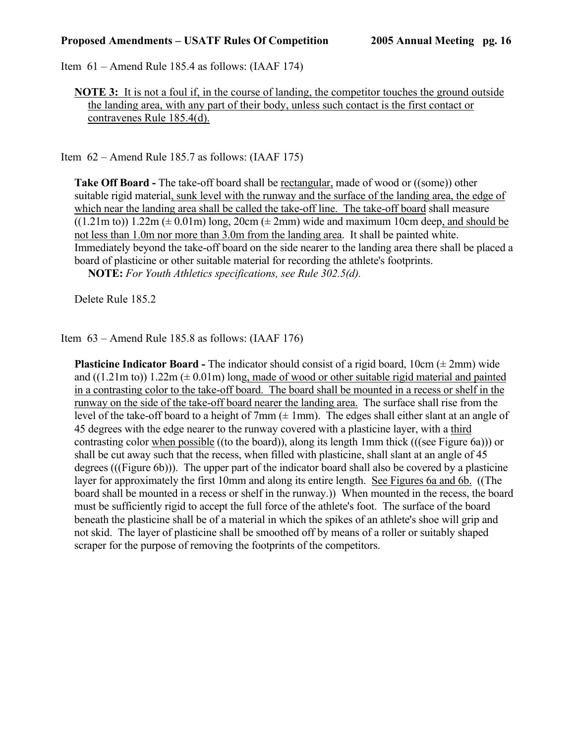Item 61 – Amend Rule 185.4 as follows: (IAAF 174)

**NOTE 3:** It is not a foul if, in the course of landing, the competitor touches the ground outside the landing area, with any part of their body, unless such contact is the first contact or contravenes Rule 185.4(d).

Item 62 – Amend Rule 185.7 as follows: (IAAF 175)

**Take Off Board -** The take-off board shall be rectangular, made of wood or ((some)) other suitable rigid material, sunk level with the runway and the surface of the landing area, the edge of which near the landing area shall be called the take-off line. The take-off board shall measure  $((1.21m to))$  1.22m ( $\pm$  0.01m) long, 20cm ( $\pm$  2mm) wide and maximum 10cm deep, and should be not less than 1.0m nor more than 3.0m from the landing area. It shall be painted white. Immediately beyond the take-off board on the side nearer to the landing area there shall be placed a board of plasticine or other suitable material for recording the athlete's footprints.

 **NOTE:** *For Youth Athletics specifications, see Rule 302.5(d).*

Delete Rule 185.2

Item 63 – Amend Rule 185.8 as follows: (IAAF 176)

**Plasticine Indicator Board -** The indicator should consist of a rigid board,  $10 \text{cm}$  ( $\pm 2 \text{mm}$ ) wide and  $((1.21m to))$  1.22m ( $\pm$  0.01m) long, made of wood or other suitable rigid material and painted in a contrasting color to the take-off board. The board shall be mounted in a recess or shelf in the runway on the side of the take-off board nearer the landing area. The surface shall rise from the level of the take-off board to a height of 7mm  $(± 1mm)$ . The edges shall either slant at an angle of 45 degrees with the edge nearer to the runway covered with a plasticine layer, with a third contrasting color when possible ((to the board)), along its length 1mm thick (((see Figure 6a))) or shall be cut away such that the recess, when filled with plasticine, shall slant at an angle of 45 degrees (((Figure 6b))). The upper part of the indicator board shall also be covered by a plasticine layer for approximately the first 10mm and along its entire length. See Figures 6a and 6b. ((The board shall be mounted in a recess or shelf in the runway.)) When mounted in the recess, the board must be sufficiently rigid to accept the full force of the athlete's foot. The surface of the board beneath the plasticine shall be of a material in which the spikes of an athlete's shoe will grip and not skid. The layer of plasticine shall be smoothed off by means of a roller or suitably shaped scraper for the purpose of removing the footprints of the competitors.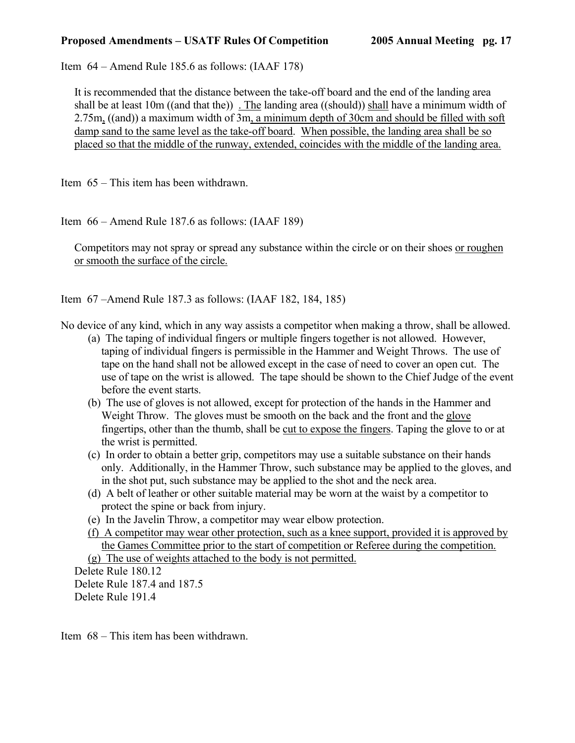Item 64 – Amend Rule 185.6 as follows: (IAAF 178)

It is recommended that the distance between the take-off board and the end of the landing area shall be at least 10m ((and that the)) . The landing area ((should)) shall have a minimum width of 2.75m, ((and)) a maximum width of 3m, a minimum depth of 30cm and should be filled with soft damp sand to the same level as the take-off board. When possible, the landing area shall be so placed so that the middle of the runway, extended, coincides with the middle of the landing area.

Item 65 – This item has been withdrawn.

Item 66 – Amend Rule 187.6 as follows: (IAAF 189)

Competitors may not spray or spread any substance within the circle or on their shoes or roughen or smooth the surface of the circle.

Item 67 –Amend Rule 187.3 as follows: (IAAF 182, 184, 185)

No device of any kind, which in any way assists a competitor when making a throw, shall be allowed.

- (a) The taping of individual fingers or multiple fingers together is not allowed. However, taping of individual fingers is permissible in the Hammer and Weight Throws. The use of tape on the hand shall not be allowed except in the case of need to cover an open cut. The use of tape on the wrist is allowed. The tape should be shown to the Chief Judge of the event before the event starts.
- (b) The use of gloves is not allowed, except for protection of the hands in the Hammer and Weight Throw. The gloves must be smooth on the back and the front and the glove fingertips, other than the thumb, shall be cut to expose the fingers. Taping the glove to or at the wrist is permitted.
- (c) In order to obtain a better grip, competitors may use a suitable substance on their hands only. Additionally, in the Hammer Throw, such substance may be applied to the gloves, and in the shot put, such substance may be applied to the shot and the neck area.
- (d) A belt of leather or other suitable material may be worn at the waist by a competitor to protect the spine or back from injury.
- (e) In the Javelin Throw, a competitor may wear elbow protection.
- (f) A competitor may wear other protection, such as a knee support, provided it is approved by the Games Committee prior to the start of competition or Referee during the competition. (g) The use of weights attached to the body is not permitted.

Delete Rule 180.12 Delete Rule 187.4 and 187.5 Delete Rule 191.4

Item 68 – This item has been withdrawn.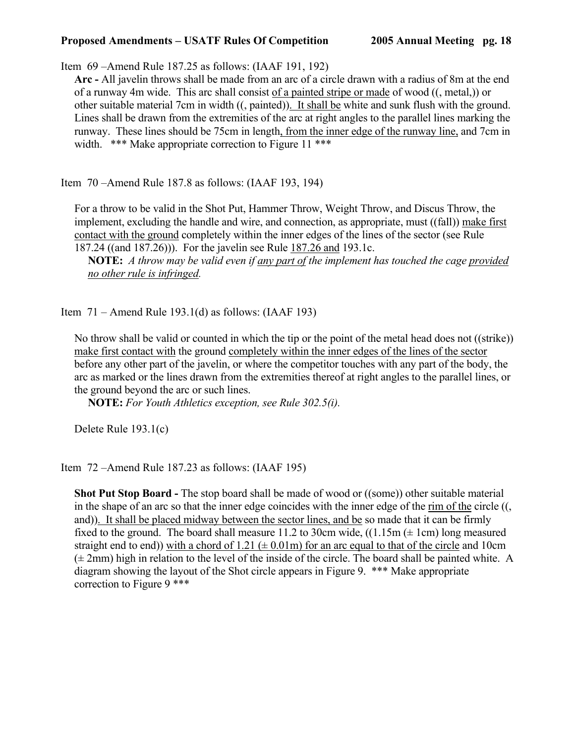Item 69 –Amend Rule 187.25 as follows: (IAAF 191, 192)

**Arc -** All javelin throws shall be made from an arc of a circle drawn with a radius of 8m at the end of a runway 4m wide. This arc shall consist of a painted stripe or made of wood ((, metal,)) or other suitable material 7cm in width ((, painted)). It shall be white and sunk flush with the ground. Lines shall be drawn from the extremities of the arc at right angles to the parallel lines marking the runway. These lines should be 75cm in length, from the inner edge of the runway line, and 7cm in width. \*\*\* Make appropriate correction to Figure 11 \*\*\*

Item 70 –Amend Rule 187.8 as follows: (IAAF 193, 194)

For a throw to be valid in the Shot Put, Hammer Throw, Weight Throw, and Discus Throw, the implement, excluding the handle and wire, and connection, as appropriate, must ((fall)) make first contact with the ground completely within the inner edges of the lines of the sector (see Rule 187.24 ((and 187.26))). For the javelin see Rule 187.26 and 193.1c.

 **NOTE:** *A throw may be valid even if any part of the implement has touched the cage provided no other rule is infringed.* 

Item  $71 -$  Amend Rule 193.1(d) as follows: (IAAF 193)

No throw shall be valid or counted in which the tip or the point of the metal head does not ((strike)) make first contact with the ground completely within the inner edges of the lines of the sector before any other part of the javelin, or where the competitor touches with any part of the body, the arc as marked or the lines drawn from the extremities thereof at right angles to the parallel lines, or the ground beyond the arc or such lines.

**NOTE:** *For Youth Athletics exception, see Rule 302.5(i).*

Delete Rule 193.1(c)

Item 72 –Amend Rule 187.23 as follows: (IAAF 195)

**Shot Put Stop Board -** The stop board shall be made of wood or ((some)) other suitable material in the shape of an arc so that the inner edge coincides with the inner edge of the rim of the circle ((, and)). It shall be placed midway between the sector lines, and be so made that it can be firmly fixed to the ground. The board shall measure 11.2 to 30cm wide,  $((1.15m (\pm 1cm) )$  long measured straight end to end)) with a chord of  $1.21 \ (\pm 0.01 \text{m})$  for an arc equal to that of the circle and 10cm  $(\pm 2$ mm) high in relation to the level of the inside of the circle. The board shall be painted white. A diagram showing the layout of the Shot circle appears in Figure 9. \*\*\* Make appropriate correction to Figure 9 \*\*\*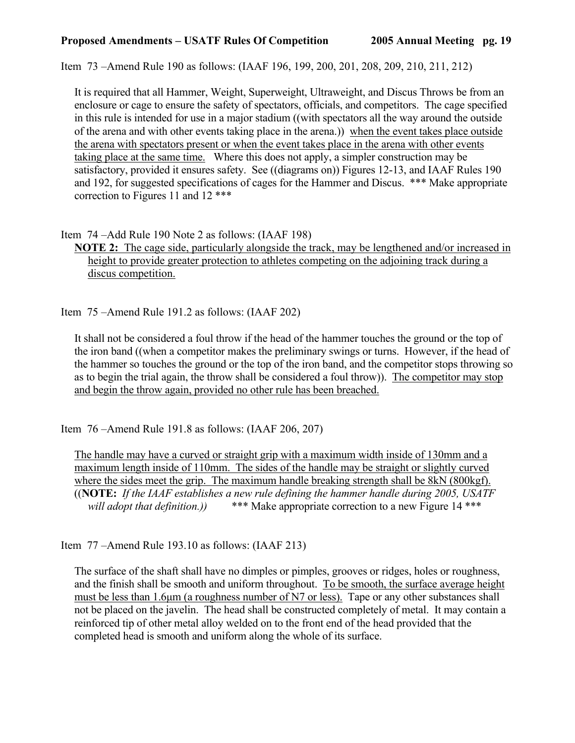Item 73 –Amend Rule 190 as follows: (IAAF 196, 199, 200, 201, 208, 209, 210, 211, 212)

It is required that all Hammer, Weight, Superweight, Ultraweight, and Discus Throws be from an enclosure or cage to ensure the safety of spectators, officials, and competitors. The cage specified in this rule is intended for use in a major stadium ((with spectators all the way around the outside of the arena and with other events taking place in the arena.)) when the event takes place outside the arena with spectators present or when the event takes place in the arena with other events taking place at the same time. Where this does not apply, a simpler construction may be satisfactory, provided it ensures safety. See ((diagrams on)) Figures 12-13, and IAAF Rules 190 and 192, for suggested specifications of cages for the Hammer and Discus. \*\*\* Make appropriate correction to Figures 11 and 12 \*\*\*

Item 74 –Add Rule 190 Note 2 as follows: (IAAF 198)

**NOTE 2:** The cage side, particularly alongside the track, may be lengthened and/or increased in height to provide greater protection to athletes competing on the adjoining track during a discus competition.

Item 75 –Amend Rule 191.2 as follows: (IAAF 202)

It shall not be considered a foul throw if the head of the hammer touches the ground or the top of the iron band ((when a competitor makes the preliminary swings or turns. However, if the head of the hammer so touches the ground or the top of the iron band, and the competitor stops throwing so as to begin the trial again, the throw shall be considered a foul throw)). The competitor may stop and begin the throw again, provided no other rule has been breached.

Item 76 –Amend Rule 191.8 as follows: (IAAF 206, 207)

The handle may have a curved or straight grip with a maximum width inside of 130mm and a maximum length inside of 110mm. The sides of the handle may be straight or slightly curved where the sides meet the grip. The maximum handle breaking strength shall be 8kN (800kgf). ((**NOTE:** *If the IAAF establishes a new rule defining the hammer handle during 2005, USATF will adopt that definition.)* \*\*\* Make appropriate correction to a new Figure 14 \*\*\*

Item 77 –Amend Rule 193.10 as follows: (IAAF 213)

The surface of the shaft shall have no dimples or pimples, grooves or ridges, holes or roughness, and the finish shall be smooth and uniform throughout. To be smooth, the surface average height must be less than 1.6 $\mu$ m (a roughness number of N7 or less). Tape or any other substances shall not be placed on the javelin. The head shall be constructed completely of metal. It may contain a reinforced tip of other metal alloy welded on to the front end of the head provided that the completed head is smooth and uniform along the whole of its surface.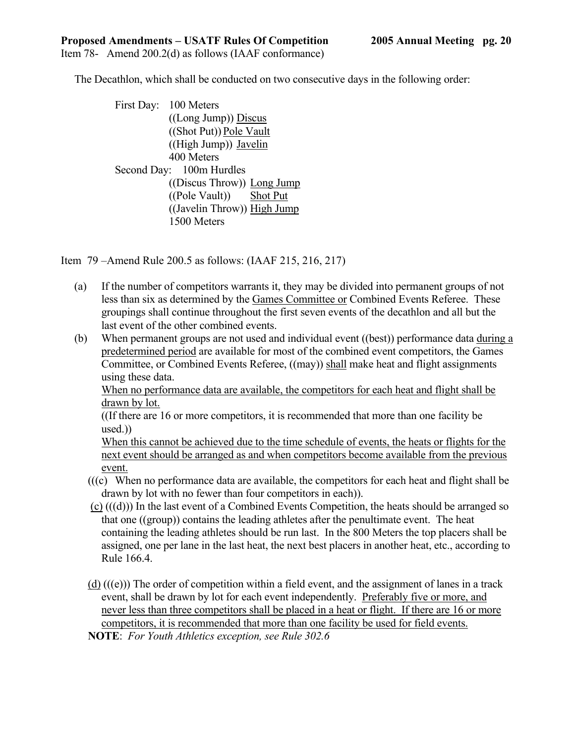Item 78- Amend 200.2(d) as follows (IAAF conformance)

The Decathlon, which shall be conducted on two consecutive days in the following order:

 First Day: 100 Meters ((Long Jump)) Discus ((Shot Put)) Pole Vault ((High Jump)) Javelin 400 Meters Second Day: 100m Hurdles ((Discus Throw)) Long Jump ((Pole Vault)) Shot Put ((Javelin Throw)) High Jump 1500 Meters

Item 79 –Amend Rule 200.5 as follows: (IAAF 215, 216, 217)

- (a) If the number of competitors warrants it, they may be divided into permanent groups of not less than six as determined by the Games Committee or Combined Events Referee. These groupings shall continue throughout the first seven events of the decathlon and all but the last event of the other combined events.
- (b) When permanent groups are not used and individual event ((best)) performance data during a predetermined period are available for most of the combined event competitors, the Games Committee, or Combined Events Referee, ((may)) shall make heat and flight assignments using these data.

When no performance data are available, the competitors for each heat and flight shall be drawn by lot.

((If there are 16 or more competitors, it is recommended that more than one facility be used.))

When this cannot be achieved due to the time schedule of events, the heats or flights for the next event should be arranged as and when competitors become available from the previous event.

- (((c) When no performance data are available, the competitors for each heat and flight shall be drawn by lot with no fewer than four competitors in each)).
- (c) (((d))) In the last event of a Combined Events Competition, the heats should be arranged so that one ((group)) contains the leading athletes after the penultimate event. The heat containing the leading athletes should be run last. In the 800 Meters the top placers shall be assigned, one per lane in the last heat, the next best placers in another heat, etc., according to Rule 166.4.
- (d)  $((e))$ ) The order of competition within a field event, and the assignment of lanes in a track event, shall be drawn by lot for each event independently. Preferably five or more, and never less than three competitors shall be placed in a heat or flight. If there are 16 or more competitors, it is recommended that more than one facility be used for field events.

 **NOTE**: *For Youth Athletics exception, see Rule 302.6*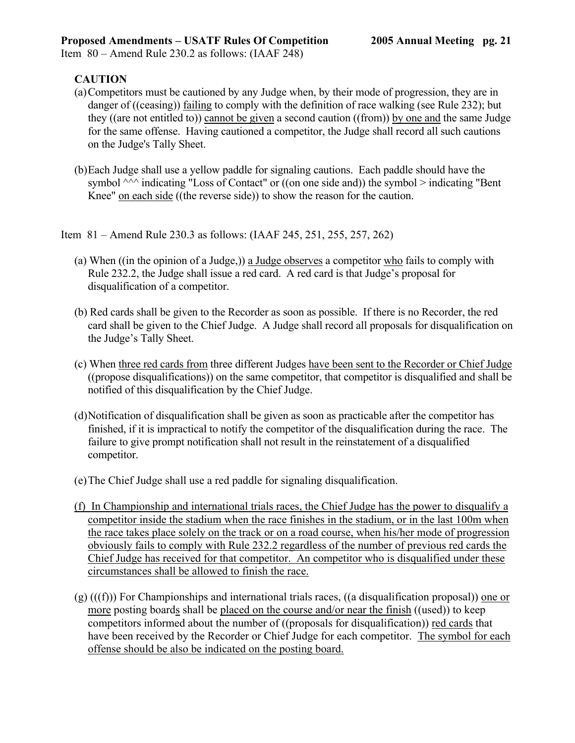Item 80 – Amend Rule 230.2 as follows: (IAAF 248)

# **CAUTION**

- (a) Competitors must be cautioned by any Judge when, by their mode of progression, they are in danger of ((ceasing)) failing to comply with the definition of race walking (see Rule 232); but they ((are not entitled to)) cannot be given a second caution ((from)) by one and the same Judge for the same offense. Having cautioned a competitor, the Judge shall record all such cautions on the Judge's Tally Sheet.
- (b) Each Judge shall use a yellow paddle for signaling cautions. Each paddle should have the symbol  $\wedge\wedge\wedge$  indicating "Loss of Contact" or ((on one side and)) the symbol > indicating "Bent Knee" on each side ((the reverse side)) to show the reason for the caution.
- Item 81 Amend Rule 230.3 as follows: (IAAF 245, 251, 255, 257, 262)
	- (a) When ((in the opinion of a Judge,)) a Judge observes a competitor who fails to comply with Rule 232.2, the Judge shall issue a red card. A red card is that Judge's proposal for disqualification of a competitor.
	- (b) Red cards shall be given to the Recorder as soon as possible. If there is no Recorder, the red card shall be given to the Chief Judge. A Judge shall record all proposals for disqualification on the Judge's Tally Sheet.
	- (c) When three red cards from three different Judges have been sent to the Recorder or Chief Judge ((propose disqualifications)) on the same competitor, that competitor is disqualified and shall be notified of this disqualification by the Chief Judge.
	- (d) Notification of disqualification shall be given as soon as practicable after the competitor has finished, if it is impractical to notify the competitor of the disqualification during the race. The failure to give prompt notification shall not result in the reinstatement of a disqualified competitor.
	- (e) The Chief Judge shall use a red paddle for signaling disqualification.
	- (f) In Championship and international trials races, the Chief Judge has the power to disqualify a competitor inside the stadium when the race finishes in the stadium, or in the last 100m when the race takes place solely on the track or on a road course, when his/her mode of progression obviously fails to comply with Rule 232.2 regardless of the number of previous red cards the Chief Judge has received for that competitor. An competitor who is disqualified under these circumstances shall be allowed to finish the race.
	- $(g)$  (((f))) For Championships and international trials races, ((a disqualification proposal)) one or more posting boards shall be placed on the course and/or near the finish ((used)) to keep competitors informed about the number of ((proposals for disqualification)) red cards that have been received by the Recorder or Chief Judge for each competitor. The symbol for each offense should be also be indicated on the posting board.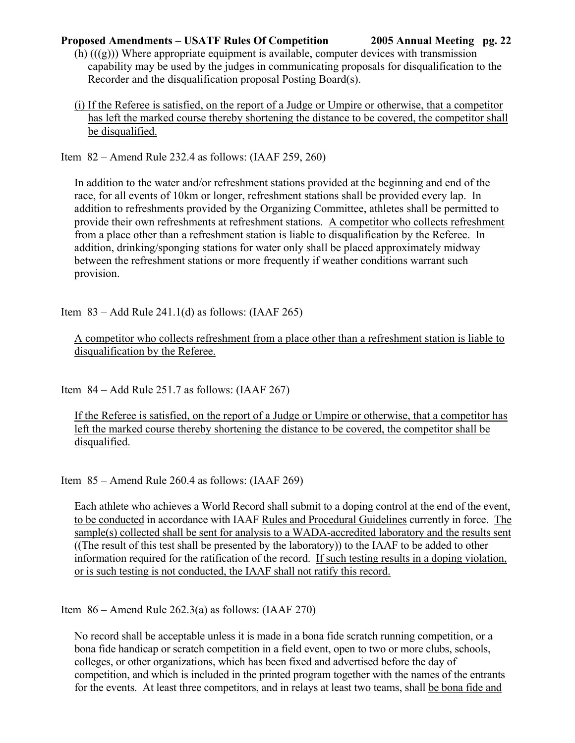- $(h)$   $((g))$ ) Where appropriate equipment is available, computer devices with transmission capability may be used by the judges in communicating proposals for disqualification to the Recorder and the disqualification proposal Posting Board(s).
- (i) If the Referee is satisfied, on the report of a Judge or Umpire or otherwise, that a competitor has left the marked course thereby shortening the distance to be covered, the competitor shall be disqualified.

Item 82 – Amend Rule 232.4 as follows: (IAAF 259, 260)

In addition to the water and/or refreshment stations provided at the beginning and end of the race, for all events of 10km or longer, refreshment stations shall be provided every lap. In addition to refreshments provided by the Organizing Committee, athletes shall be permitted to provide their own refreshments at refreshment stations. A competitor who collects refreshment from a place other than a refreshment station is liable to disqualification by the Referee. In addition, drinking/sponging stations for water only shall be placed approximately midway between the refreshment stations or more frequently if weather conditions warrant such provision.

Item  $83 -$ Add Rule 241.1(d) as follows: (IAAF 265)

A competitor who collects refreshment from a place other than a refreshment station is liable to disqualification by the Referee.

Item  $84 -$ Add Rule 251.7 as follows: (IAAF 267)

If the Referee is satisfied, on the report of a Judge or Umpire or otherwise, that a competitor has left the marked course thereby shortening the distance to be covered, the competitor shall be disqualified.

Item 85 – Amend Rule 260.4 as follows: (IAAF 269)

Each athlete who achieves a World Record shall submit to a doping control at the end of the event, to be conducted in accordance with IAAF Rules and Procedural Guidelines currently in force. The sample(s) collected shall be sent for analysis to a WADA-accredited laboratory and the results sent ((The result of this test shall be presented by the laboratory)) to the IAAF to be added to other information required for the ratification of the record. If such testing results in a doping violation, or is such testing is not conducted, the IAAF shall not ratify this record.

Item  $86 -$  Amend Rule 262.3(a) as follows: (IAAF 270)

No record shall be acceptable unless it is made in a bona fide scratch running competition, or a bona fide handicap or scratch competition in a field event, open to two or more clubs, schools, colleges, or other organizations, which has been fixed and advertised before the day of competition, and which is included in the printed program together with the names of the entrants for the events. At least three competitors, and in relays at least two teams, shall be bona fide and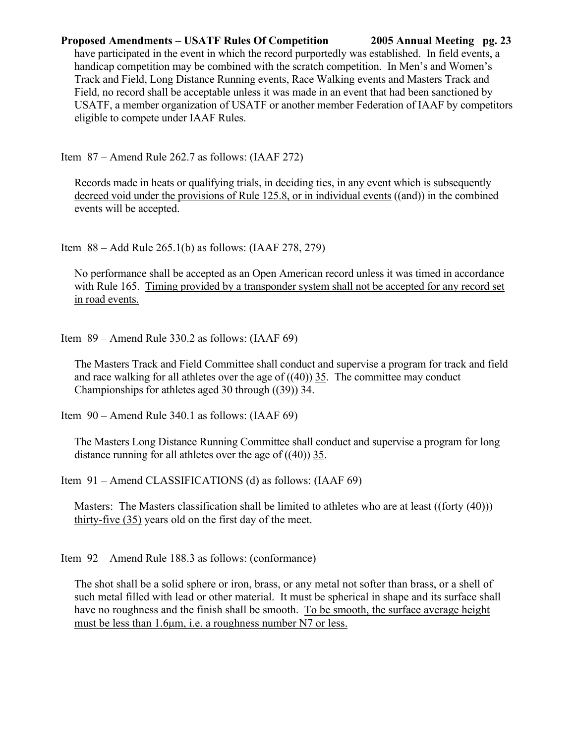have participated in the event in which the record purportedly was established. In field events, a handicap competition may be combined with the scratch competition. In Men's and Women's Track and Field, Long Distance Running events, Race Walking events and Masters Track and Field, no record shall be acceptable unless it was made in an event that had been sanctioned by USATF, a member organization of USATF or another member Federation of IAAF by competitors eligible to compete under IAAF Rules.

Item 87 – Amend Rule 262.7 as follows: (IAAF 272)

Records made in heats or qualifying trials, in deciding ties, in any event which is subsequently decreed void under the provisions of Rule 125.8, or in individual events ((and)) in the combined events will be accepted.

Item 88 – Add Rule 265.1(b) as follows: (IAAF 278, 279)

No performance shall be accepted as an Open American record unless it was timed in accordance with Rule 165. Timing provided by a transponder system shall not be accepted for any record set in road events.

Item 89 – Amend Rule 330.2 as follows: (IAAF 69)

The Masters Track and Field Committee shall conduct and supervise a program for track and field and race walking for all athletes over the age of  $((40))$  35. The committee may conduct Championships for athletes aged 30 through ((39)) 34.

Item 90 – Amend Rule 340.1 as follows: (IAAF 69)

The Masters Long Distance Running Committee shall conduct and supervise a program for long distance running for all athletes over the age of ((40)) 35.

Item 91 – Amend CLASSIFICATIONS (d) as follows: (IAAF 69)

Masters: The Masters classification shall be limited to athletes who are at least ((forty (40))) thirty-five (35) years old on the first day of the meet.

Item 92 – Amend Rule 188.3 as follows: (conformance)

The shot shall be a solid sphere or iron, brass, or any metal not softer than brass, or a shell of such metal filled with lead or other material. It must be spherical in shape and its surface shall have no roughness and the finish shall be smooth. To be smooth, the surface average height must be less than 1.6µm, i.e. a roughness number N7 or less.